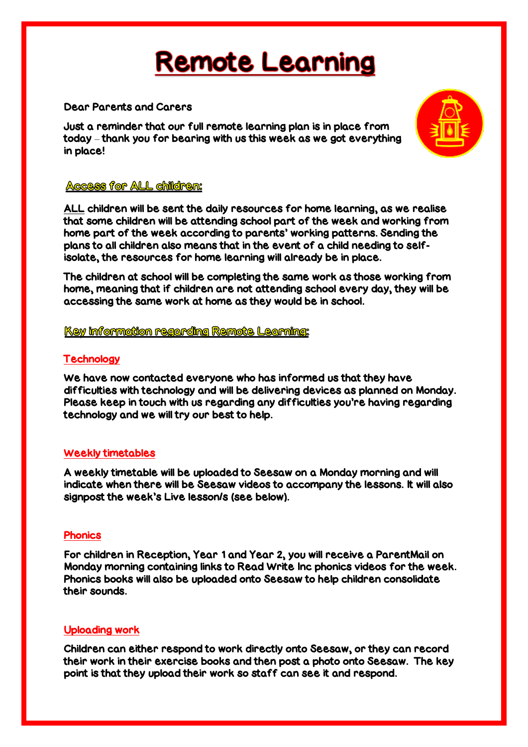# **Remote Learning**

## Dear Parents and Carers

Just a reminder that our full remote learning plan is in place from today – thank you for bearing with us this week as we got everything in place!



## **Access for ALL childrem:**

ALL children will be sent the daily resources for home learning, as we realise that some children will be attending school part of the week and working from home part of the week according to parents' working patterns. Sending the plans to all children also means that in the event of a child needing to selfisolate, the resources for home learning will already be in place.

The children at school will be completing the same work as those working from home, meaning that if children are not attending school every day, they will be accessing the same work at home as they would be in school.

Key information regarding Remote Learning:

# **Technology**

We have now contacted everyone who has informed us that they have difficulties with technology and will be delivering devices as planned on Monday. Please keep in touch with us regarding any difficulties you're having regarding technology and we will try our best to help.

#### Weekly timetables

A weekly timetable will be uploaded to Seesaw on a Monday morning and will indicate when there will be Seesaw videos to accompany the lessons. It will also signpost the week's Live lesson/s (see below).

# **Phonics**

For children in Reception, Year 1 and Year 2, you will receive a ParentMail on Monday morning containing links to Read Write Inc phonics videos for the week. Phonics books will also be uploaded onto Seesaw to help children consolidate their sounds.

# Uploading work

Children can either respond to work directly onto Seesaw, or they can record their work in their exercise books and then post a photo onto Seesaw. The key point is that they upload their work so staff can see it and respond.